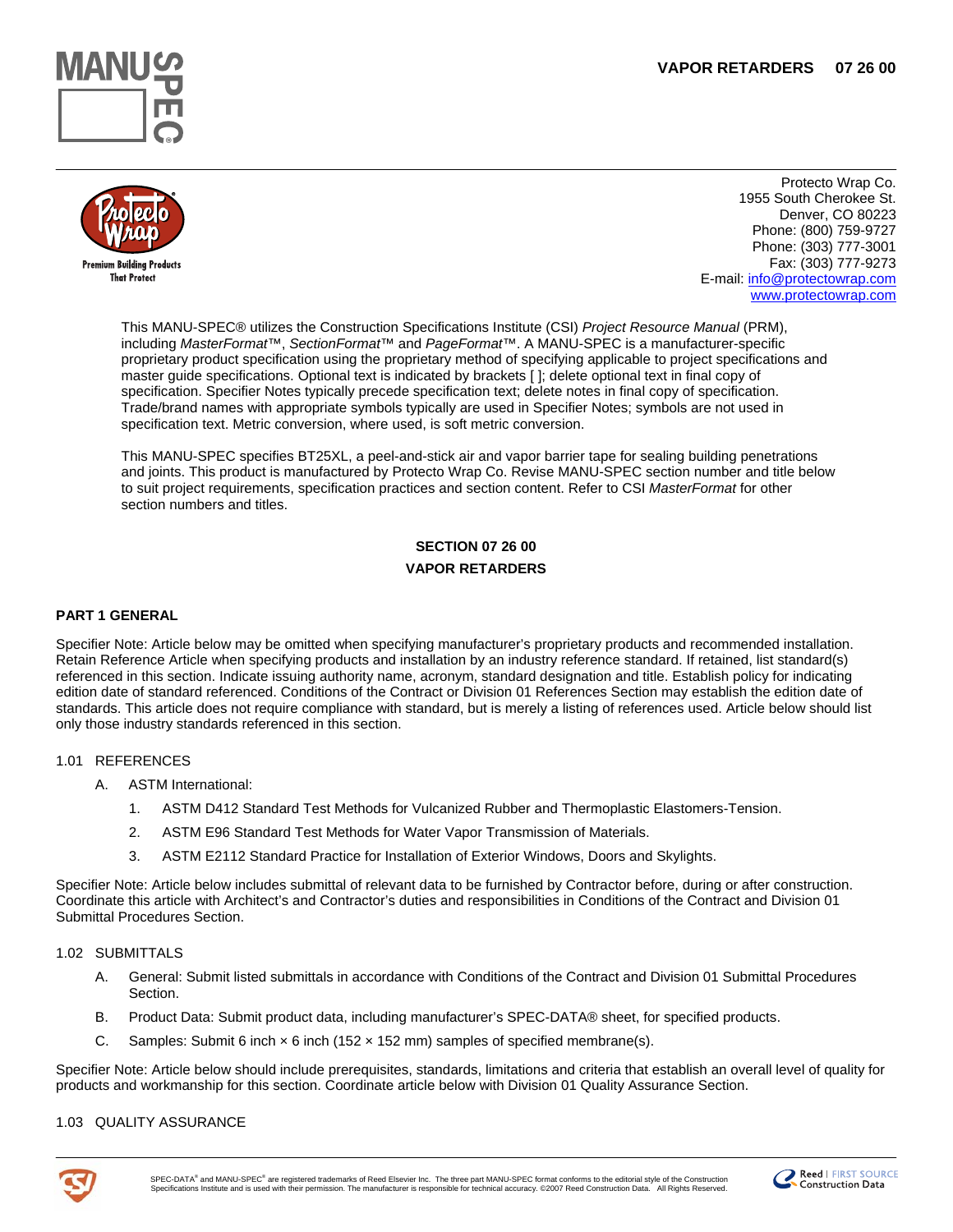



Protecto Wrap Co. 1955 South Cherokee St. Denver, CO 80223 Phone: (800) 759-9727 Phone: (303) 777-3001 Fax: (303) 777-9273 E-mail: [info@protectowrap.com](mailto:info@protectowrap.com) [www.protectowrap.com](http://www.protectowrap.com/)

This MANU-SPEC® utilizes the Construction Specifications Institute (CSI) *Project Resource Manual* (PRM), including *MasterFormat*™, *SectionFormat*™ and *PageFormat*™. A MANU-SPEC is a manufacturer-specific proprietary product specification using the proprietary method of specifying applicable to project specifications and master guide specifications. Optional text is indicated by brackets [ ]; delete optional text in final copy of specification. Specifier Notes typically precede specification text; delete notes in final copy of specification. Trade/brand names with appropriate symbols typically are used in Specifier Notes; symbols are not used in specification text. Metric conversion, where used, is soft metric conversion.

This MANU-SPEC specifies BT25XL, a peel-and-stick air and vapor barrier tape for sealing building penetrations and joints. This product is manufactured by Protecto Wrap Co. Revise MANU-SPEC section number and title below to suit project requirements, specification practices and section content. Refer to CSI *MasterFormat* for other section numbers and titles.

# **SECTION 07 26 00 VAPOR RETARDERS**

### **PART 1 GENERAL**

Specifier Note: Article below may be omitted when specifying manufacturer's proprietary products and recommended installation. Retain Reference Article when specifying products and installation by an industry reference standard. If retained, list standard(s) referenced in this section. Indicate issuing authority name, acronym, standard designation and title. Establish policy for indicating edition date of standard referenced. Conditions of the Contract or Division 01 References Section may establish the edition date of standards. This article does not require compliance with standard, but is merely a listing of references used. Article below should list only those industry standards referenced in this section.

### 1.01 REFERENCES

- A. ASTM International:
	- 1. ASTM D412 Standard Test Methods for Vulcanized Rubber and Thermoplastic Elastomers-Tension.
	- 2. ASTM E96 Standard Test Methods for Water Vapor Transmission of Materials.
	- 3. ASTM E2112 Standard Practice for Installation of Exterior Windows, Doors and Skylights.

Specifier Note: Article below includes submittal of relevant data to be furnished by Contractor before, during or after construction. Coordinate this article with Architect's and Contractor's duties and responsibilities in Conditions of the Contract and Division 01 Submittal Procedures Section.

### 1.02 SUBMITTALS

- A. General: Submit listed submittals in accordance with Conditions of the Contract and Division 01 Submittal Procedures Section.
- B. Product Data: Submit product data, including manufacturer's SPEC-DATA® sheet, for specified products.
- C. Samples: Submit 6 inch  $\times$  6 inch (152  $\times$  152 mm) samples of specified membrane(s).

Specifier Note: Article below should include prerequisites, standards, limitations and criteria that establish an overall level of quality for products and workmanship for this section. Coordinate article below with Division 01 Quality Assurance Section.

### 1.03 QUALITY ASSURANCE



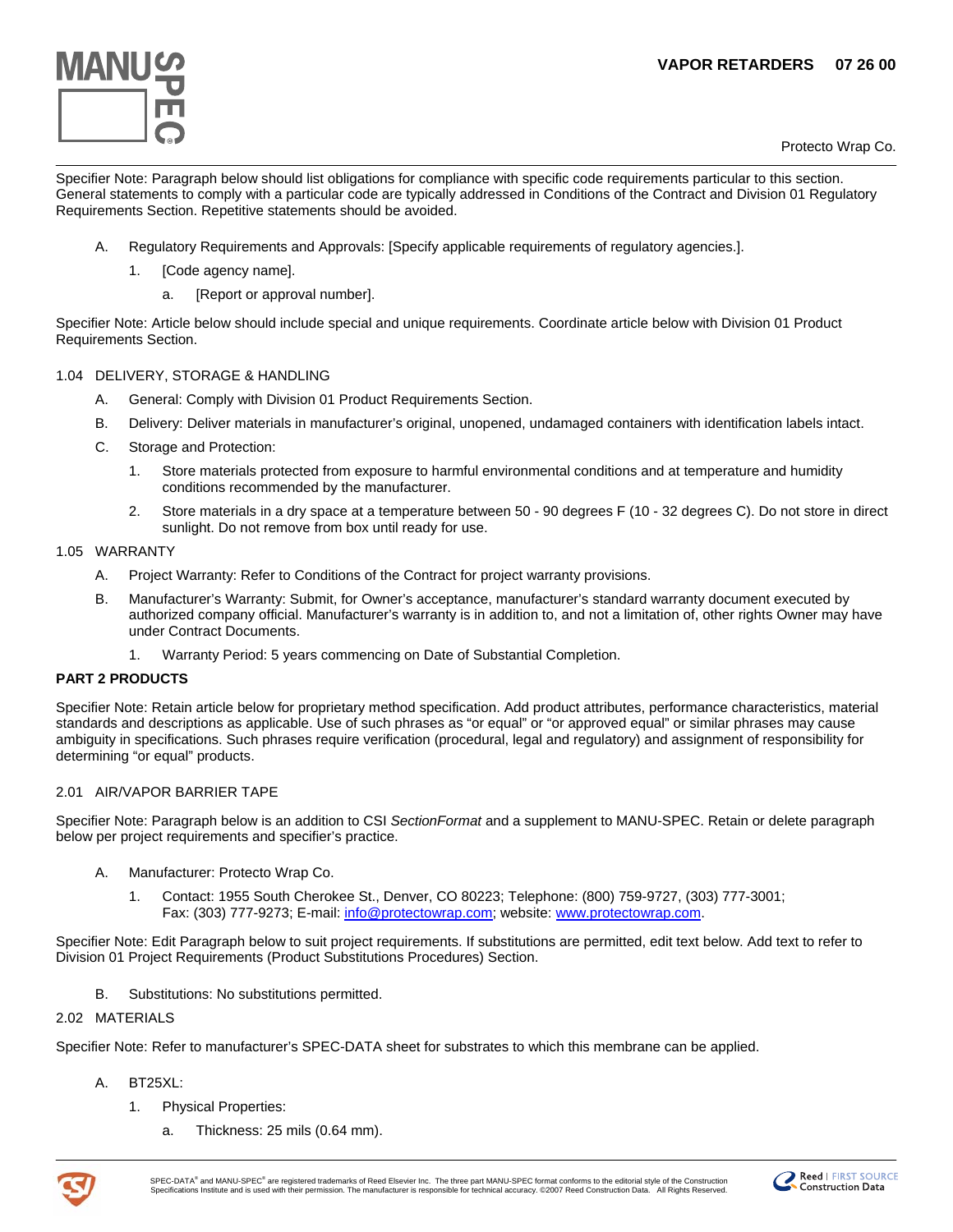## **VAPOR RETARDERS 07 26 00**



Protecto Wrap Co.

Specifier Note: Paragraph below should list obligations for compliance with specific code requirements particular to this section. General statements to comply with a particular code are typically addressed in Conditions of the Contract and Division 01 Regulatory Requirements Section. Repetitive statements should be avoided.

- A. Regulatory Requirements and Approvals: [Specify applicable requirements of regulatory agencies.].
	- 1. [Code agency name].
		- a. [Report or approval number].

Specifier Note: Article below should include special and unique requirements. Coordinate article below with Division 01 Product Requirements Section.

### 1.04 DELIVERY, STORAGE & HANDLING

- A. General: Comply with Division 01 Product Requirements Section.
- B. Delivery: Deliver materials in manufacturer's original, unopened, undamaged containers with identification labels intact.
- C. Storage and Protection:
	- 1. Store materials protected from exposure to harmful environmental conditions and at temperature and humidity conditions recommended by the manufacturer.
	- 2. Store materials in a dry space at a temperature between 50 90 degrees F (10 32 degrees C). Do not store in direct sunlight. Do not remove from box until ready for use.

### 1.05 WARRANTY

- A. Project Warranty: Refer to Conditions of the Contract for project warranty provisions.
- B. Manufacturer's Warranty: Submit, for Owner's acceptance, manufacturer's standard warranty document executed by authorized company official. Manufacturer's warranty is in addition to, and not a limitation of, other rights Owner may have under Contract Documents.
	- 1. Warranty Period: 5 years commencing on Date of Substantial Completion.

### **PART 2 PRODUCTS**

Specifier Note: Retain article below for proprietary method specification. Add product attributes, performance characteristics, material standards and descriptions as applicable. Use of such phrases as "or equal" or "or approved equal" or similar phrases may cause ambiguity in specifications. Such phrases require verification (procedural, legal and regulatory) and assignment of responsibility for determining "or equal" products.

### 2.01 AIR/VAPOR BARRIER TAPE

Specifier Note: Paragraph below is an addition to CSI *SectionFormat* and a supplement to MANU-SPEC. Retain or delete paragraph below per project requirements and specifier's practice.

- A. Manufacturer: Protecto Wrap Co.
	- 1. Contact: 1955 South Cherokee St., Denver, CO 80223; Telephone: (800) 759-9727, (303) 777-3001; Fax: (303) 777-9273; E-mail: [info@protectowrap.com;](mailto:info@protectowrap.com) website: [www.protectowrap.com.](http://www.protectowrap.com/)

Specifier Note: Edit Paragraph below to suit project requirements. If substitutions are permitted, edit text below. Add text to refer to Division 01 Project Requirements (Product Substitutions Procedures) Section.

B. Substitutions: No substitutions permitted.

### 2.02 MATERIALS

Specifier Note: Refer to manufacturer's SPEC-DATA sheet for substrates to which this membrane can be applied.

- A. BT25XL:
	- 1. Physical Properties:
		- a. Thickness: 25 mils (0.64 mm).